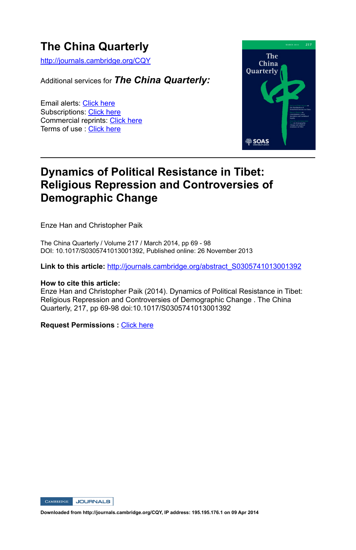## **The China Quarterly**

http://journals.cambridge.org/CQY

Additional services for *The China Quarterly:*

Email alerts: Click here Subscriptions: Click here Commercial reprints: Click here Terms of use : Click here



## **Dynamics of Political Resistance in Tibet: Religious Repression and Controversies of Demographic Change**

Enze Han and Christopher Paik

The China Quarterly / Volume 217 / March 2014, pp 69 - 98 DOI: 10.1017/S0305741013001392, Published online: 26 November 2013

**Link to this article:** http://journals.cambridge.org/abstract\_S0305741013001392

#### **How to cite this article:**

Enze Han and Christopher Paik (2014). Dynamics of Political Resistance in Tibet: Religious Repression and Controversies of Demographic Change . The China Quarterly, 217, pp 69-98 doi:10.1017/S0305741013001392

**Request Permissions :** Click here



**Downloaded from http://journals.cambridge.org/CQY, IP address: 195.195.176.1 on 09 Apr 2014**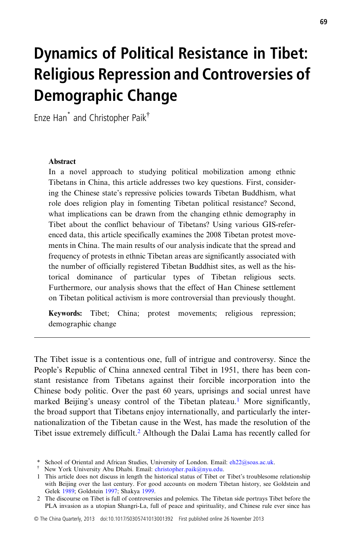# Dynamics of Political Resistance in Tibet: Religious Repression and Controversies of Demographic Change

Enze Han\* and Christopher Paik†

#### Abstract

In a novel approach to studying political mobilization among ethnic Tibetans in China, this article addresses two key questions. First, considering the Chinese state's repressive policies towards Tibetan Buddhism, what role does religion play in fomenting Tibetan political resistance? Second, what implications can be drawn from the changing ethnic demography in Tibet about the conflict behaviour of Tibetans? Using various GIS-referenced data, this article specifically examines the 2008 Tibetan protest movements in China. The main results of our analysis indicate that the spread and frequency of protests in ethnic Tibetan areas are significantly associated with the number of officially registered Tibetan Buddhist sites, as well as the historical dominance of particular types of Tibetan religious sects. Furthermore, our analysis shows that the effect of Han Chinese settlement on Tibetan political activism is more controversial than previously thought.

Keywords: Tibet; China; protest movements; religious repression; demographic change

The Tibet issue is a contentious one, full of intrigue and controversy. Since the People's Republic of China annexed central Tibet in 1951, there has been constant resistance from Tibetans against their forcible incorporation into the Chinese body politic. Over the past 60 years, uprisings and social unrest have marked Beijing's uneasy control of the Tibetan plateau.<sup>1</sup> More significantly, the broad support that Tibetans enjoy internationally, and particularly the internationalization of the Tibetan cause in the West, has made the resolution of the Tibet issue extremely difficult.<sup>2</sup> Although the Dalai Lama has recently called for

<sup>\*</sup> School of Oriental and African Studies, University of London. Email: [eh22@soas.ac.uk.](mailto:eh22@soas.ac.uk) † New York University Abu Dhabi. Email: [christopher.paik@nyu.edu.](mailto:christopher.paik@nyu.edu)

<sup>1</sup> This article does not discuss in length the historical status of Tibet or Tibet's troublesome relationship with Beijing over the last century. For good accounts on modern Tibetan history, see Goldstein and Gelek 1989; Goldstein 1997; Shakya 1999.

<sup>2</sup> The discourse on Tibet is full of controversies and polemics. The Tibetan side portrays Tibet before the PLA invasion as a utopian Shangri-La, full of peace and spirituality, and Chinese rule ever since has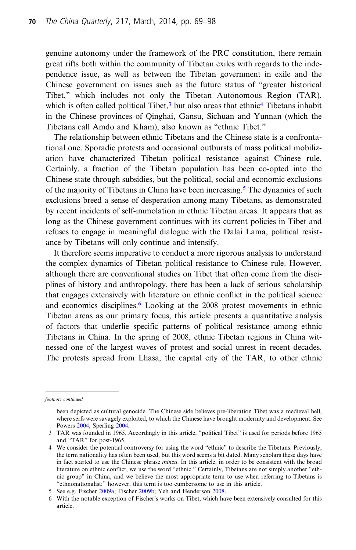genuine autonomy under the framework of the PRC constitution, there remain great rifts both within the community of Tibetan exiles with regards to the independence issue, as well as between the Tibetan government in exile and the Chinese government on issues such as the future status of "greater historical Tibet," which includes not only the Tibetan Autonomous Region (TAR), which is often called political Tibet, $3$  but also areas that ethnic<sup>4</sup> Tibetans inhabit in the Chinese provinces of Qinghai, Gansu, Sichuan and Yunnan (which the Tibetans call Amdo and Kham), also known as "ethnic Tibet."

The relationship between ethnic Tibetans and the Chinese state is a confrontational one. Sporadic protests and occasional outbursts of mass political mobilization have characterized Tibetan political resistance against Chinese rule. Certainly, a fraction of the Tibetan population has been co-opted into the Chinese state through subsidies, but the political, social and economic exclusions of the majority of Tibetans in China have been increasing.<sup>5</sup> The dynamics of such exclusions breed a sense of desperation among many Tibetans, as demonstrated by recent incidents of self-immolation in ethnic Tibetan areas. It appears that as long as the Chinese government continues with its current policies in Tibet and refuses to engage in meaningful dialogue with the Dalai Lama, political resistance by Tibetans will only continue and intensify.

It therefore seems imperative to conduct a more rigorous analysis to understand the complex dynamics of Tibetan political resistance to Chinese rule. However, although there are conventional studies on Tibet that often come from the disciplines of history and anthropology, there has been a lack of serious scholarship that engages extensively with literature on ethnic conflict in the political science and economics disciplines.<sup>6</sup> Looking at the 2008 protest movements in ethnic Tibetan areas as our primary focus, this article presents a quantitative analysis of factors that underlie specific patterns of political resistance among ethnic Tibetans in China. In the spring of 2008, ethnic Tibetan regions in China witnessed one of the largest waves of protest and social unrest in recent decades. The protests spread from Lhasa, the capital city of the TAR, to other ethnic

footnote continued

been depicted as cultural genocide. The Chinese side believes pre-liberation Tibet was a medieval hell, where serfs were savagely exploited, to which the Chinese have brought modernity and development. See Powers 2004; Sperling 2004.

<sup>3</sup> TAR was founded in 1965. Accordingly in this article, "political Tibet" is used for periods before 1965 and "TAR" for post-1965.

<sup>4</sup> We consider the potential controversy for using the word "ethnic" to describe the Tibetans. Previously, the term nationality has often been used, but this word seems a bit dated. Many scholars these days have in fact started to use the Chinese phrase minzu. In this article, in order to be consistent with the broad literature on ethnic conflict, we use the word "ethnic." Certainly, Tibetans are not simply another "ethnic group" in China, and we believe the most appropriate term to use when referring to Tibetans is "ethnonationalist;" however, this term is too cumbersome to use in this article.

<sup>5</sup> See e.g. Fischer 2009a; Fischer 2009b; Yeh and Henderson 2008.

<sup>6</sup> With the notable exception of Fischer's works on Tibet, which have been extensively consulted for this article.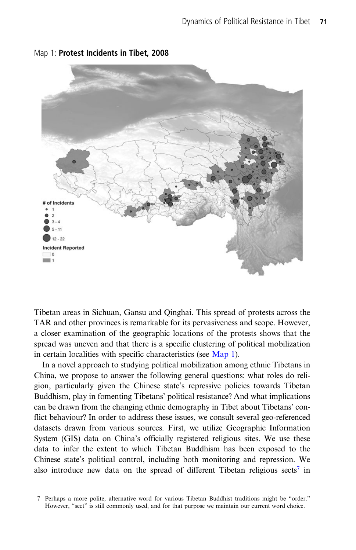

### Map 1: Protest Incidents in Tibet, 2008

Tibetan areas in Sichuan, Gansu and Qinghai. This spread of protests across the TAR and other provinces is remarkable for its pervasiveness and scope. However, a closer examination of the geographic locations of the protests shows that the spread was uneven and that there is a specific clustering of political mobilization in certain localities with specific characteristics (see Map 1).

In a novel approach to studying political mobilization among ethnic Tibetans in China, we propose to answer the following general questions: what roles do religion, particularly given the Chinese state's repressive policies towards Tibetan Buddhism, play in fomenting Tibetans' political resistance? And what implications can be drawn from the changing ethnic demography in Tibet about Tibetans' conflict behaviour? In order to address these issues, we consult several geo-referenced datasets drawn from various sources. First, we utilize Geographic Information System (GIS) data on China's officially registered religious sites. We use these data to infer the extent to which Tibetan Buddhism has been exposed to the Chinese state's political control, including both monitoring and repression. We also introduce new data on the spread of different Tibetan religious sects<sup>7</sup> in

<sup>7</sup> Perhaps a more polite, alternative word for various Tibetan Buddhist traditions might be "order." However, "sect" is still commonly used, and for that purpose we maintain our current word choice.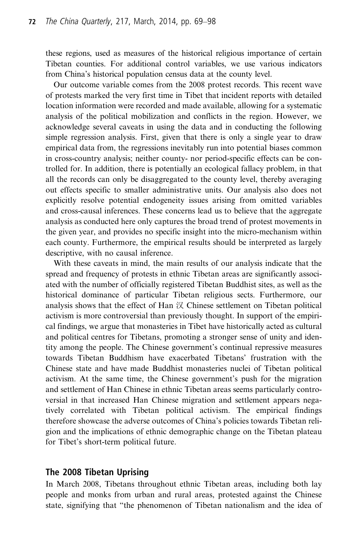these regions, used as measures of the historical religious importance of certain Tibetan counties. For additional control variables, we use various indicators from China's historical population census data at the county level.

Our outcome variable comes from the 2008 protest records. This recent wave of protests marked the very first time in Tibet that incident reports with detailed location information were recorded and made available, allowing for a systematic analysis of the political mobilization and conflicts in the region. However, we acknowledge several caveats in using the data and in conducting the following simple regression analysis. First, given that there is only a single year to draw empirical data from, the regressions inevitably run into potential biases common in cross-country analysis; neither county- nor period-specific effects can be controlled for. In addition, there is potentially an ecological fallacy problem, in that all the records can only be disaggregated to the county level, thereby averaging out effects specific to smaller administrative units. Our analysis also does not explicitly resolve potential endogeneity issues arising from omitted variables and cross-causal inferences. These concerns lead us to believe that the aggregate analysis as conducted here only captures the broad trend of protest movements in the given year, and provides no specific insight into the micro-mechanism within each county. Furthermore, the empirical results should be interpreted as largely descriptive, with no causal inference.

With these caveats in mind, the main results of our analysis indicate that the spread and frequency of protests in ethnic Tibetan areas are significantly associated with the number of officially registered Tibetan Buddhist sites, as well as the historical dominance of particular Tibetan religious sects. Furthermore, our analysis shows that the effect of Han  $\mathcal X$  Chinese settlement on Tibetan political activism is more controversial than previously thought. In support of the empirical findings, we argue that monasteries in Tibet have historically acted as cultural and political centres for Tibetans, promoting a stronger sense of unity and identity among the people. The Chinese government's continual repressive measures towards Tibetan Buddhism have exacerbated Tibetans' frustration with the Chinese state and have made Buddhist monasteries nuclei of Tibetan political activism. At the same time, the Chinese government's push for the migration and settlement of Han Chinese in ethnic Tibetan areas seems particularly controversial in that increased Han Chinese migration and settlement appears negatively correlated with Tibetan political activism. The empirical findings therefore showcase the adverse outcomes of China's policies towards Tibetan religion and the implications of ethnic demographic change on the Tibetan plateau for Tibet's short-term political future.

#### The 2008 Tibetan Uprising

In March 2008, Tibetans throughout ethnic Tibetan areas, including both lay people and monks from urban and rural areas, protested against the Chinese state, signifying that "the phenomenon of Tibetan nationalism and the idea of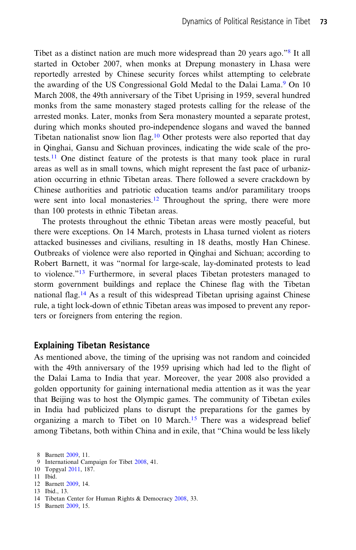Tibet as a distinct nation are much more widespread than 20 years ago."<sup>8</sup> It all started in October 2007, when monks at Drepung monastery in Lhasa were reportedly arrested by Chinese security forces whilst attempting to celebrate the awarding of the US Congressional Gold Medal to the Dalai Lama.<sup>9</sup> On 10 March 2008, the 49th anniversary of the Tibet Uprising in 1959, several hundred monks from the same monastery staged protests calling for the release of the arrested monks. Later, monks from Sera monastery mounted a separate protest, during which monks shouted pro-independence slogans and waved the banned Tibetan nationalist snow lion flag.<sup>10</sup> Other protests were also reported that day in Qinghai, Gansu and Sichuan provinces, indicating the wide scale of the protests.<sup>11</sup> One distinct feature of the protests is that many took place in rural areas as well as in small towns, which might represent the fast pace of urbanization occurring in ethnic Tibetan areas. There followed a severe crackdown by Chinese authorities and patriotic education teams and/or paramilitary troops were sent into local monasteries.<sup>12</sup> Throughout the spring, there were more than 100 protests in ethnic Tibetan areas.

The protests throughout the ethnic Tibetan areas were mostly peaceful, but there were exceptions. On 14 March, protests in Lhasa turned violent as rioters attacked businesses and civilians, resulting in 18 deaths, mostly Han Chinese. Outbreaks of violence were also reported in Qinghai and Sichuan; according to Robert Barnett, it was "normal for large-scale, lay-dominated protests to lead to violence."<sup>13</sup> Furthermore, in several places Tibetan protesters managed to storm government buildings and replace the Chinese flag with the Tibetan national flag.<sup>14</sup> As a result of this widespread Tibetan uprising against Chinese rule, a tight lock-down of ethnic Tibetan areas was imposed to prevent any reporters or foreigners from entering the region.

#### Explaining Tibetan Resistance

As mentioned above, the timing of the uprising was not random and coincided with the 49th anniversary of the 1959 uprising which had led to the flight of the Dalai Lama to India that year. Moreover, the year 2008 also provided a golden opportunity for gaining international media attention as it was the year that Beijing was to host the Olympic games. The community of Tibetan exiles in India had publicized plans to disrupt the preparations for the games by organizing a march to Tibet on 10 March.<sup>15</sup> There was a widespread belief among Tibetans, both within China and in exile, that "China would be less likely

- 9 International Campaign for Tibet 2008, 41.
- 10 Topgyal 2011, 187.
- 11 Ibid.
- 12 Barnett 2009, 14.
- 13 Ibid., 13.

15 Barnett 2009, 15.

<sup>8</sup> Barnett 2009, 11.

<sup>14</sup> Tibetan Center for Human Rights & Democracy 2008, 33.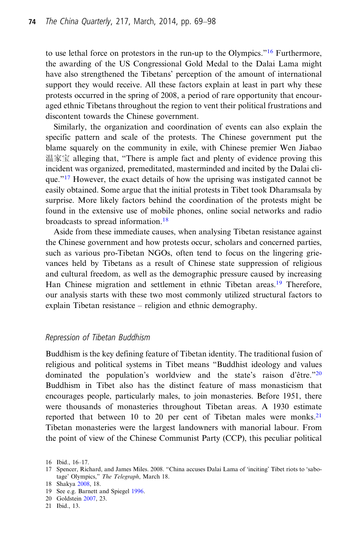to use lethal force on protestors in the run-up to the Olympics."<sup>16</sup> Furthermore, the awarding of the US Congressional Gold Medal to the Dalai Lama might have also strengthened the Tibetans' perception of the amount of international support they would receive. All these factors explain at least in part why these protests occurred in the spring of 2008, a period of rare opportunity that encouraged ethnic Tibetans throughout the region to vent their political frustrations and discontent towards the Chinese government.

Similarly, the organization and coordination of events can also explain the specific pattern and scale of the protests. The Chinese government put the blame squarely on the community in exile, with Chinese premier Wen Jiabao 温家宝 alleging that, "There is ample fact and plenty of evidence proving this incident was organized, premeditated, masterminded and incited by the Dalai clique."<sup>17</sup> However, the exact details of how the uprising was instigated cannot be easily obtained. Some argue that the initial protests in Tibet took Dharamsala by surprise. More likely factors behind the coordination of the protests might be found in the extensive use of mobile phones, online social networks and radio broadcasts to spread information.<sup>18</sup>

Aside from these immediate causes, when analysing Tibetan resistance against the Chinese government and how protests occur, scholars and concerned parties, such as various pro-Tibetan NGOs, often tend to focus on the lingering grievances held by Tibetans as a result of Chinese state suppression of religious and cultural freedom, as well as the demographic pressure caused by increasing Han Chinese migration and settlement in ethnic Tibetan areas.<sup>19</sup> Therefore, our analysis starts with these two most commonly utilized structural factors to explain Tibetan resistance – religion and ethnic demography.

#### Repression of Tibetan Buddhism

Buddhism is the key defining feature of Tibetan identity. The traditional fusion of religious and political systems in Tibet means "Buddhist ideology and values dominated the population's worldview and the state's raison d'être."<sup>20</sup> Buddhism in Tibet also has the distinct feature of mass monasticism that encourages people, particularly males, to join monasteries. Before 1951, there were thousands of monasteries throughout Tibetan areas. A 1930 estimate reported that between 10 to 20 per cent of Tibetan males were monks.<sup>21</sup> Tibetan monasteries were the largest landowners with manorial labour. From the point of view of the Chinese Communist Party (CCP), this peculiar political

21 Ibid., 13.

<sup>16</sup> Ibid., 16–17.

<sup>17</sup> Spencer, Richard, and James Miles. 2008. "China accuses Dalai Lama of 'inciting' Tibet riots to 'sabotage' Olympics," The Telegraph, March 18.

<sup>18</sup> Shakya 2008, 18.

<sup>19</sup> See e.g. Barnett and Spiegel 1996.

<sup>20</sup> Goldstein 2007, 23.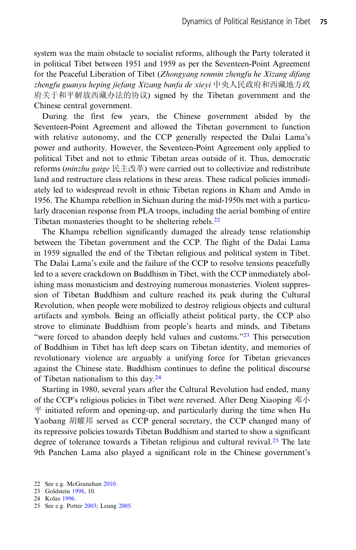system was the main obstacle to socialist reforms, although the Party tolerated it in political Tibet between 1951 and 1959 as per the Seventeen-Point Agreement for the Peaceful Liberation of Tibet (Zhongyang renmin zhengfu he Xizang difang zhengfu guanyu heping jiefang Xizang banfa de xieyi 中央人民政府和西藏地方政 府关于和平解放西藏办法的协议) signed by the Tibetan government and the Chinese central government.

During the first few years, the Chinese government abided by the Seventeen-Point Agreement and allowed the Tibetan government to function with relative autonomy, and the CCP generally respected the Dalai Lama's power and authority. However, the Seventeen-Point Agreement only applied to political Tibet and not to ethnic Tibetan areas outside of it. Thus, democratic reforms (minzhu gaige 民主改革) were carried out to collectivize and redistribute land and restructure class relations in these areas. These radical policies immediately led to widespread revolt in ethnic Tibetan regions in Kham and Amdo in 1956. The Khampa rebellion in Sichuan during the mid-1950s met with a particularly draconian response from PLA troops, including the aerial bombing of entire Tibetan monasteries thought to be sheltering rebels.<sup>22</sup>

The Khampa rebellion significantly damaged the already tense relationship between the Tibetan government and the CCP. The flight of the Dalai Lama in 1959 signalled the end of the Tibetan religious and political system in Tibet. The Dalai Lama's exile and the failure of the CCP to resolve tensions peacefully led to a severe crackdown on Buddhism in Tibet, with the CCP immediately abolishing mass monasticism and destroying numerous monasteries. Violent suppression of Tibetan Buddhism and culture reached its peak during the Cultural Revolution, when people were mobilized to destroy religious objects and cultural artifacts and symbols. Being an officially atheist political party, the CCP also strove to eliminate Buddhism from people's hearts and minds, and Tibetans "were forced to abandon deeply held values and customs."<sup>23</sup> This persecution of Buddhism in Tibet has left deep scars on Tibetan identity, and memories of revolutionary violence are arguably a unifying force for Tibetan grievances against the Chinese state. Buddhism continues to define the political discourse of Tibetan nationalism to this day.<sup>24</sup>

Starting in 1980, several years after the Cultural Revolution had ended, many of the CCP's religious policies in Tibet were reversed. After Deng Xiaoping 邓小  $\overline{\Psi}$  initiated reform and opening-up, and particularly during the time when Hu Yaobang 胡耀邦 served as CCP general secretary, the CCP changed many of its repressive policies towards Tibetan Buddhism and started to show a significant degree of tolerance towards a Tibetan religious and cultural revival.<sup>25</sup> The late 9th Panchen Lama also played a significant role in the Chinese government's

<sup>22</sup> See e.g. McGranahan 2010.

<sup>23</sup> Goldstein 1998, 10.

<sup>24</sup> Kolas 1996.

<sup>25</sup> See e.g. Potter 2003; Leung 2005.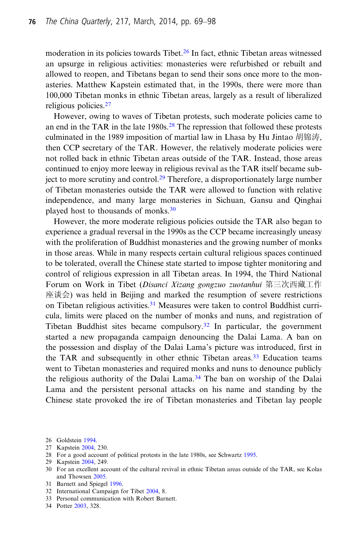moderation in its policies towards Tibet.<sup>26</sup> In fact, ethnic Tibetan areas witnessed an upsurge in religious activities: monasteries were refurbished or rebuilt and allowed to reopen, and Tibetans began to send their sons once more to the monasteries. Matthew Kapstein estimated that, in the 1990s, there were more than 100,000 Tibetan monks in ethnic Tibetan areas, largely as a result of liberalized religious policies.<sup>27</sup>

However, owing to waves of Tibetan protests, such moderate policies came to an end in the TAR in the late 1980s.<sup>28</sup> The repression that followed these protests culminated in the 1989 imposition of martial law in Lhasa by Hu Jintao 胡锦涛, then CCP secretary of the TAR. However, the relatively moderate policies were not rolled back in ethnic Tibetan areas outside of the TAR. Instead, those areas continued to enjoy more leeway in religious revival as the TAR itself became subject to more scrutiny and control.29 Therefore, a disproportionately large number of Tibetan monasteries outside the TAR were allowed to function with relative independence, and many large monasteries in Sichuan, Gansu and Qinghai played host to thousands of monks.<sup>30</sup>

However, the more moderate religious policies outside the TAR also began to experience a gradual reversal in the 1990s as the CCP became increasingly uneasy with the proliferation of Buddhist monasteries and the growing number of monks in those areas. While in many respects certain cultural religious spaces continued to be tolerated, overall the Chinese state started to impose tighter monitoring and control of religious expression in all Tibetan areas. In 1994, the Third National Forum on Work in Tibet (Disanci Xizang gongzuo zuotanhui 第三次西藏工作 座谈会) was held in Beijing and marked the resumption of severe restrictions on Tibetan religious activities.<sup>31</sup> Measures were taken to control Buddhist curricula, limits were placed on the number of monks and nuns, and registration of Tibetan Buddhist sites became compulsory.<sup>32</sup> In particular, the government started a new propaganda campaign denouncing the Dalai Lama. A ban on the possession and display of the Dalai Lama's picture was introduced, first in the TAR and subsequently in other ethnic Tibetan areas.<sup>33</sup> Education teams went to Tibetan monasteries and required monks and nuns to denounce publicly the religious authority of the Dalai Lama.<sup>34</sup> The ban on worship of the Dalai Lama and the persistent personal attacks on his name and standing by the Chinese state provoked the ire of Tibetan monasteries and Tibetan lay people

- 31 Barnett and Spiegel 1996.
- 32 International Campaign for Tibet 2004, 8.
- 33 Personal communication with Robert Barnett.
- 34 Potter 2003, 328.

<sup>26</sup> Goldstein 1994.

<sup>27</sup> Kapstein 2004, 230.

<sup>28</sup> For a good account of political protests in the late 1980s, see Schwartz 1995.

<sup>29</sup> Kapstein 2004, 249.

<sup>30</sup> For an excellent account of the cultural revival in ethnic Tibetan areas outside of the TAR, see Kolas and Thowsen 2005.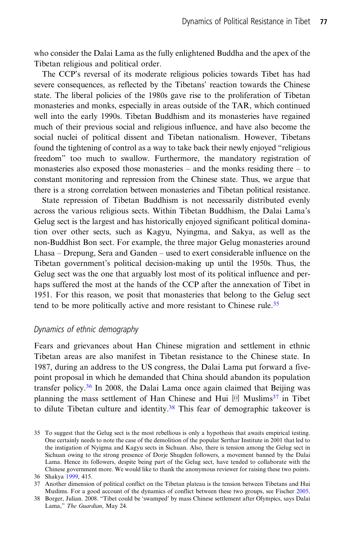who consider the Dalai Lama as the fully enlightened Buddha and the apex of the Tibetan religious and political order.

The CCP's reversal of its moderate religious policies towards Tibet has had severe consequences, as reflected by the Tibetans' reaction towards the Chinese state. The liberal policies of the 1980s gave rise to the proliferation of Tibetan monasteries and monks, especially in areas outside of the TAR, which continued well into the early 1990s. Tibetan Buddhism and its monasteries have regained much of their previous social and religious influence, and have also become the social nuclei of political dissent and Tibetan nationalism. However, Tibetans found the tightening of control as a way to take back their newly enjoyed "religious freedom" too much to swallow. Furthermore, the mandatory registration of monasteries also exposed those monasteries – and the monks residing there – to constant monitoring and repression from the Chinese state. Thus, we argue that there is a strong correlation between monasteries and Tibetan political resistance.

State repression of Tibetan Buddhism is not necessarily distributed evenly across the various religious sects. Within Tibetan Buddhism, the Dalai Lama's Gelug sect is the largest and has historically enjoyed significant political domination over other sects, such as Kagyu, Nyingma, and Sakya, as well as the non-Buddhist Bon sect. For example, the three major Gelug monasteries around Lhasa – Drepung, Sera and Ganden – used to exert considerable influence on the Tibetan government's political decision-making up until the 1950s. Thus, the Gelug sect was the one that arguably lost most of its political influence and perhaps suffered the most at the hands of the CCP after the annexation of Tibet in 1951. For this reason, we posit that monasteries that belong to the Gelug sect tend to be more politically active and more resistant to Chinese rule.<sup>35</sup>

#### Dynamics of ethnic demography

Fears and grievances about Han Chinese migration and settlement in ethnic Tibetan areas are also manifest in Tibetan resistance to the Chinese state. In 1987, during an address to the US congress, the Dalai Lama put forward a fivepoint proposal in which he demanded that China should abandon its population transfer policy.36 In 2008, the Dalai Lama once again claimed that Beijing was planning the mass settlement of Han Chinese and Hui  $\Box$  Muslims<sup>37</sup> in Tibet to dilute Tibetan culture and identity.38 This fear of demographic takeover is

37 Another dimension of political conflict on the Tibetan plateau is the tension between Tibetans and Hui Muslims. For a good account of the dynamics of conflict between these two groups, see Fischer 2005.

38 Borger, Julian. 2008. "Tibet could be 'swamped' by mass Chinese settlement after Olympics, says Dalai Lama," The Guardian, May 24.

<sup>35</sup> To suggest that the Gelug sect is the most rebellious is only a hypothesis that awaits empirical testing. One certainly needs to note the case of the demolition of the popular Serthar Institute in 2001 that led to the instigation of Nyigma and Kagyu sects in Sichuan. Also, there is tension among the Gelug sect in Sichuan owing to the strong presence of Dorje Shugden followers, a movement banned by the Dalai Lama. Hence its followers, despite being part of the Gelug sect, have tended to collaborate with the Chinese government more. We would like to thank the anonymous reviewer for raising these two points.

<sup>36</sup> Shakya 1999, 415.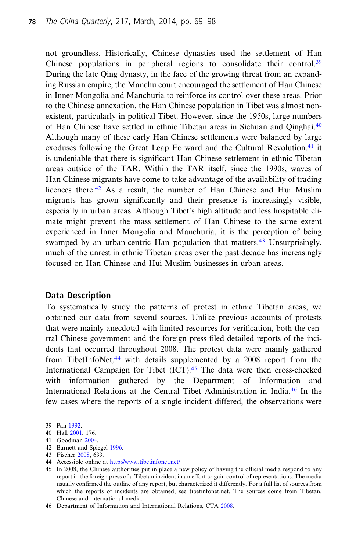not groundless. Historically, Chinese dynasties used the settlement of Han Chinese populations in peripheral regions to consolidate their control.<sup>39</sup> During the late Qing dynasty, in the face of the growing threat from an expanding Russian empire, the Manchu court encouraged the settlement of Han Chinese in Inner Mongolia and Manchuria to reinforce its control over these areas. Prior to the Chinese annexation, the Han Chinese population in Tibet was almost nonexistent, particularly in political Tibet. However, since the 1950s, large numbers of Han Chinese have settled in ethnic Tibetan areas in Sichuan and Qinghai.40 Although many of these early Han Chinese settlements were balanced by large exoduses following the Great Leap Forward and the Cultural Revolution,<sup>41</sup> it is undeniable that there is significant Han Chinese settlement in ethnic Tibetan areas outside of the TAR. Within the TAR itself, since the 1990s, waves of Han Chinese migrants have come to take advantage of the availability of trading licences there.42 As a result, the number of Han Chinese and Hui Muslim migrants has grown significantly and their presence is increasingly visible, especially in urban areas. Although Tibet's high altitude and less hospitable climate might prevent the mass settlement of Han Chinese to the same extent experienced in Inner Mongolia and Manchuria, it is the perception of being swamped by an urban-centric Han population that matters.<sup>43</sup> Unsurprisingly, much of the unrest in ethnic Tibetan areas over the past decade has increasingly focused on Han Chinese and Hui Muslim businesses in urban areas.

#### Data Description

To systematically study the patterns of protest in ethnic Tibetan areas, we obtained our data from several sources. Unlike previous accounts of protests that were mainly anecdotal with limited resources for verification, both the central Chinese government and the foreign press filed detailed reports of the incidents that occurred throughout 2008. The protest data were mainly gathered from TibetInfoNet,<sup>44</sup> with details supplemented by a 2008 report from the International Campaign for Tibet (ICT).<sup>45</sup> The data were then cross-checked with information gathered by the Department of Information and International Relations at the Central Tibet Administration in India.<sup>46</sup> In the few cases where the reports of a single incident differed, the observations were

<sup>39</sup> Pan 1992.

<sup>40</sup> Hall 2001, 176.

<sup>41</sup> Goodman 2004.

<sup>42</sup> Barnett and Spiegel 1996.

<sup>43</sup> Fischer 2008, 633.

<sup>44</sup> Accessible online at [http://www.tibetinfonet.net/.](http://www.tibetinfonet.net/)

<sup>45</sup> In 2008, the Chinese authorities put in place a new policy of having the official media respond to any report in the foreign press of a Tibetan incident in an effort to gain control of representations. The media usually confirmed the outline of any report, but characterized it differently. For a full list of sources from which the reports of incidents are obtained, see tibetinfonet.net. The sources come from Tibetan, Chinese and international media.

<sup>46</sup> Department of Information and International Relations, CTA 2008.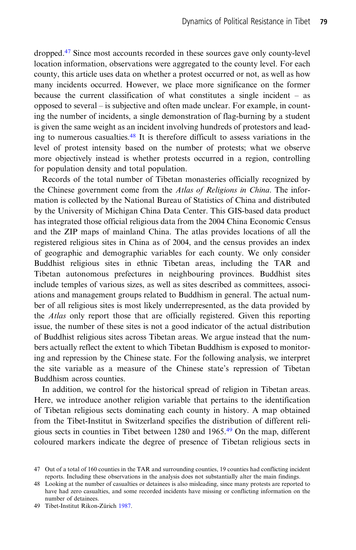dropped.47 Since most accounts recorded in these sources gave only county-level location information, observations were aggregated to the county level. For each county, this article uses data on whether a protest occurred or not, as well as how many incidents occurred. However, we place more significance on the former because the current classification of what constitutes a single incident – as opposed to several – is subjective and often made unclear. For example, in counting the number of incidents, a single demonstration of flag-burning by a student is given the same weight as an incident involving hundreds of protestors and leading to numerous casualties.<sup>48</sup> It is therefore difficult to assess variations in the level of protest intensity based on the number of protests; what we observe more objectively instead is whether protests occurred in a region, controlling for population density and total population.

Records of the total number of Tibetan monasteries officially recognized by the Chinese government come from the Atlas of Religions in China. The information is collected by the National Bureau of Statistics of China and distributed by the University of Michigan China Data Center. This GIS-based data product has integrated those official religious data from the 2004 China Economic Census and the ZIP maps of mainland China. The atlas provides locations of all the registered religious sites in China as of 2004, and the census provides an index of geographic and demographic variables for each county. We only consider Buddhist religious sites in ethnic Tibetan areas, including the TAR and Tibetan autonomous prefectures in neighbouring provinces. Buddhist sites include temples of various sizes, as well as sites described as committees, associations and management groups related to Buddhism in general. The actual number of all religious sites is most likely underrepresented, as the data provided by the Atlas only report those that are officially registered. Given this reporting issue, the number of these sites is not a good indicator of the actual distribution of Buddhist religious sites across Tibetan areas. We argue instead that the numbers actually reflect the extent to which Tibetan Buddhism is exposed to monitoring and repression by the Chinese state. For the following analysis, we interpret the site variable as a measure of the Chinese state's repression of Tibetan Buddhism across counties.

In addition, we control for the historical spread of religion in Tibetan areas. Here, we introduce another religion variable that pertains to the identification of Tibetan religious sects dominating each county in history. A map obtained from the Tibet-Institut in Switzerland specifies the distribution of different religious sects in counties in Tibet between 1280 and 1965.<sup>49</sup> On the map, different coloured markers indicate the degree of presence of Tibetan religious sects in

<sup>47</sup> Out of a total of 160 counties in the TAR and surrounding counties, 19 counties had conflicting incident reports. Including these observations in the analysis does not substantially alter the main findings.

<sup>48</sup> Looking at the number of casualties or detainees is also misleading, since many protests are reported to have had zero casualties, and some recorded incidents have missing or conflicting information on the number of detainees.

<sup>49</sup> Tibet-Institut Rikon-Zürich 1987.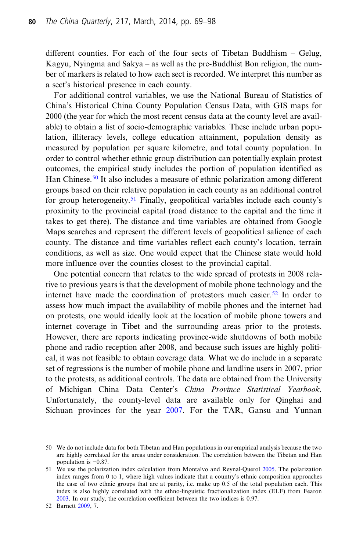different counties. For each of the four sects of Tibetan Buddhism – Gelug, Kagyu, Nyingma and Sakya – as well as the pre-Buddhist Bon religion, the number of markers is related to how each sect is recorded. We interpret this number as a sect's historical presence in each county.

For additional control variables, we use the National Bureau of Statistics of China's Historical China County Population Census Data, with GIS maps for 2000 (the year for which the most recent census data at the county level are available) to obtain a list of socio-demographic variables. These include urban population, illiteracy levels, college education attainment, population density as measured by population per square kilometre, and total county population. In order to control whether ethnic group distribution can potentially explain protest outcomes, the empirical study includes the portion of population identified as Han Chinese.<sup>50</sup> It also includes a measure of ethnic polarization among different groups based on their relative population in each county as an additional control for group heterogeneity.<sup>51</sup> Finally, geopolitical variables include each county's proximity to the provincial capital (road distance to the capital and the time it takes to get there). The distance and time variables are obtained from Google Maps searches and represent the different levels of geopolitical salience of each county. The distance and time variables reflect each county's location, terrain conditions, as well as size. One would expect that the Chinese state would hold more influence over the counties closest to the provincial capital.

One potential concern that relates to the wide spread of protests in 2008 relative to previous years is that the development of mobile phone technology and the internet have made the coordination of protestors much easier.<sup>52</sup> In order to assess how much impact the availability of mobile phones and the internet had on protests, one would ideally look at the location of mobile phone towers and internet coverage in Tibet and the surrounding areas prior to the protests. However, there are reports indicating province-wide shutdowns of both mobile phone and radio reception after 2008, and because such issues are highly political, it was not feasible to obtain coverage data. What we do include in a separate set of regressions is the number of mobile phone and landline users in 2007, prior to the protests, as additional controls. The data are obtained from the University of Michigan China Data Center's China Province Statistical Yearbook. Unfortunately, the county-level data are available only for Qinghai and Sichuan provinces for the year 2007. For the TAR, Gansu and Yunnan

52 Barnett 2009, 7.

<sup>50</sup> We do not include data for both Tibetan and Han populations in our empirical analysis because the two are highly correlated for the areas under consideration. The correlation between the Tibetan and Han population is −0.87.

<sup>51</sup> We use the polarization index calculation from Montalvo and Reynal-Querol 2005. The polarization index ranges from 0 to 1, where high values indicate that a country's ethnic composition approaches the case of two ethnic groups that are at parity, i.e. make up 0.5 of the total population each. This index is also highly correlated with the ethno-linguistic fractionalization index (ELF) from Fearon 2003. In our study, the correlation coefficient between the two indices is 0.97.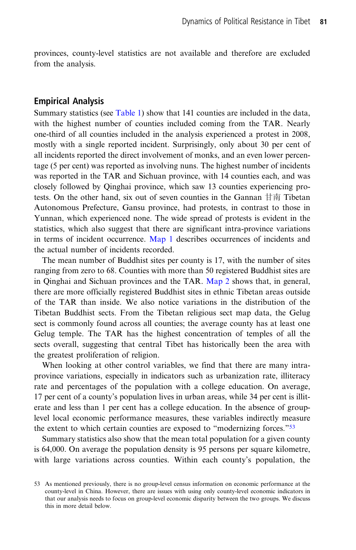provinces, county-level statistics are not available and therefore are excluded from the analysis.

#### Empirical Analysis

Summary statistics (see Table 1) show that 141 counties are included in the data, with the highest number of counties included coming from the TAR. Nearly one-third of all counties included in the analysis experienced a protest in 2008, mostly with a single reported incident. Surprisingly, only about 30 per cent of all incidents reported the direct involvement of monks, and an even lower percentage (5 per cent) was reported as involving nuns. The highest number of incidents was reported in the TAR and Sichuan province, with 14 counties each, and was closely followed by Qinghai province, which saw 13 counties experiencing protests. On the other hand, six out of seven counties in the Gannan 甘南 Tibetan Autonomous Prefecture, Gansu province, had protests, in contrast to those in Yunnan, which experienced none. The wide spread of protests is evident in the statistics, which also suggest that there are significant intra-province variations in terms of incident occurrence. Map 1 describes occurrences of incidents and the actual number of incidents recorded.

The mean number of Buddhist sites per county is 17, with the number of sites ranging from zero to 68. Counties with more than 50 registered Buddhist sites are in Qinghai and Sichuan provinces and the TAR. Map 2 shows that, in general, there are more officially registered Buddhist sites in ethnic Tibetan areas outside of the TAR than inside. We also notice variations in the distribution of the Tibetan Buddhist sects. From the Tibetan religious sect map data, the Gelug sect is commonly found across all counties; the average county has at least one Gelug temple. The TAR has the highest concentration of temples of all the sects overall, suggesting that central Tibet has historically been the area with the greatest proliferation of religion.

When looking at other control variables, we find that there are many intraprovince variations, especially in indicators such as urbanization rate, illiteracy rate and percentages of the population with a college education. On average, 17 per cent of a county's population lives in urban areas, while 34 per cent is illiterate and less than 1 per cent has a college education. In the absence of grouplevel local economic performance measures, these variables indirectly measure the extent to which certain counties are exposed to "modernizing forces."<sup>53</sup>

Summary statistics also show that the mean total population for a given county is 64,000. On average the population density is 95 persons per square kilometre, with large variations across counties. Within each county's population, the

<sup>53</sup> As mentioned previously, there is no group-level census information on economic performance at the county-level in China. However, there are issues with using only county-level economic indicators in that our analysis needs to focus on group-level economic disparity between the two groups. We discuss this in more detail below.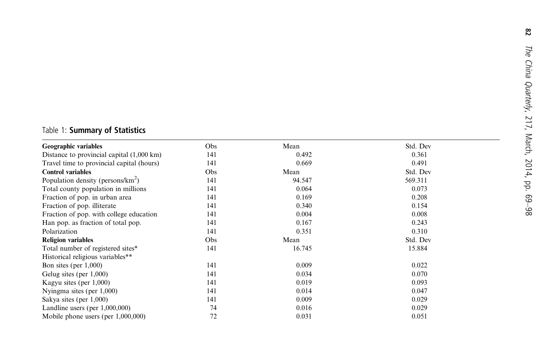#### Table 1: Summary of Statistics

| Geographic variables                                | Obs | Mean   | Std. Dev |
|-----------------------------------------------------|-----|--------|----------|
| Distance to provincial capital $(1,000 \text{ km})$ | 141 | 0.492  | 0.361    |
| Travel time to provincial capital (hours)           | 141 | 0.669  | 0.491    |
| <b>Control variables</b>                            | Obs | Mean   | Std. Dev |
| Population density (persons/ $km^2$ )               | 141 | 94.547 | 569.311  |
| Total county population in millions                 | 141 | 0.064  | 0.073    |
| Fraction of pop. in urban area                      | 141 | 0.169  | 0.208    |
| Fraction of pop. illiterate                         | 141 | 0.340  | 0.154    |
| Fraction of pop. with college education             | 141 | 0.004  | 0.008    |
| Han pop. as fraction of total pop.                  | 141 | 0.167  | 0.243    |
| Polarization                                        | 141 | 0.351  | 0.310    |
| <b>Religion variables</b>                           | Obs | Mean   | Std. Dev |
| Total number of registered sites*                   | 141 | 16.745 | 15.884   |
| Historical religious variables**                    |     |        |          |
| Bon sites (per $1,000$ )                            | 141 | 0.009  | 0.022    |
| Gelug sites (per $1,000$ )                          | 141 | 0.034  | 0.070    |
| Kagyu sites (per $1,000$ )                          | 141 | 0.019  | 0.093    |
| Nyingma sites (per $1,000$ )                        | 141 | 0.014  | 0.047    |
| Sakya sites (per 1,000)                             | 141 | 0.009  | 0.029    |
| Landline users (per $1,000,000$ )                   | 74  | 0.016  | 0.029    |
| Mobile phone users (per $1,000,000$ )               | 72  | 0.031  | 0.051    |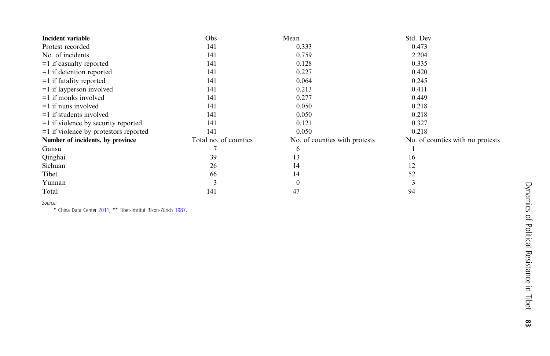| Incident variable                        | Obs                   | Mean                          | Std. Dev                         |
|------------------------------------------|-----------------------|-------------------------------|----------------------------------|
| Protest recorded                         | 141                   | 0.333                         | 0.473                            |
| No. of incidents                         | 141                   | 0.759                         | 2.204                            |
| $=1$ if casualty reported                | 141                   | 0.128                         | 0.335                            |
| $=1$ if detention reported               | 141                   | 0.227                         | 0.420                            |
| $=1$ if fatality reported                | 141                   | 0.064                         | 0.245                            |
| $=1$ if layperson involved               | 141                   | 0.213                         | 0.411                            |
| $=1$ if monks involved                   | 141                   | 0.277                         | 0.449                            |
| $=1$ if nuns involved                    | 141                   | 0.050                         | 0.218                            |
| $=1$ if students involved                | 141                   | 0.050                         | 0.218                            |
| $=1$ if violence by security reported    | 141                   | 0.121                         | 0.327                            |
| $=$ 1 if violence by protestors reported | 141                   | 0.050                         | 0.218                            |
| Number of incidents, by province         | Total no. of counties | No. of counties with protests | No. of counties with no protests |
| Gansu                                    |                       | 6                             |                                  |
| Qinghai                                  | 39                    | 13                            | 16                               |
| Sichuan                                  | 26                    | 14                            | 12                               |
| Tibet                                    | 66                    | 14                            | 52                               |
| Yunnan                                   |                       |                               | 3                                |
| Total                                    | 141                   | 47                            | 94                               |

Source:

\* China Data Center 2011; \*\* Tibet-Institut Rikon-Zürich 1987.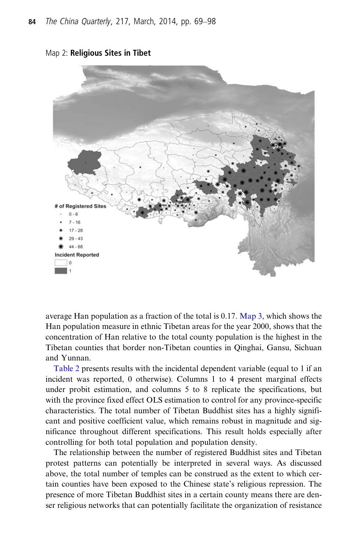

Map 2: Religious Sites in Tibet

average Han population as a fraction of the total is 0.17. Map 3, which shows the Han population measure in ethnic Tibetan areas for the year 2000, shows that the concentration of Han relative to the total county population is the highest in the Tibetan counties that border non-Tibetan counties in Qinghai, Gansu, Sichuan and Yunnan.

Table 2 presents results with the incidental dependent variable (equal to 1 if an incident was reported, 0 otherwise). Columns 1 to 4 present marginal effects under probit estimation, and columns 5 to 8 replicate the specifications, but with the province fixed effect OLS estimation to control for any province-specific characteristics. The total number of Tibetan Buddhist sites has a highly significant and positive coefficient value, which remains robust in magnitude and significance throughout different specifications. This result holds especially after controlling for both total population and population density.

The relationship between the number of registered Buddhist sites and Tibetan protest patterns can potentially be interpreted in several ways. As discussed above, the total number of temples can be construed as the extent to which certain counties have been exposed to the Chinese state's religious repression. The presence of more Tibetan Buddhist sites in a certain county means there are denser religious networks that can potentially facilitate the organization of resistance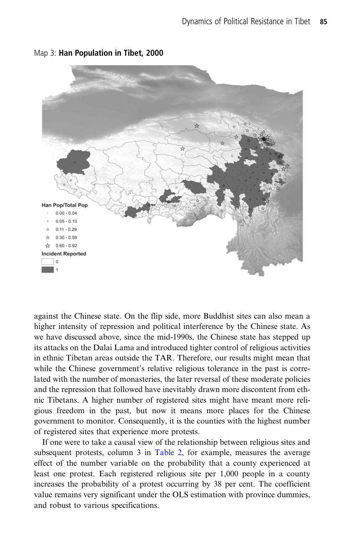

#### Map 3: Han Population in Tibet, 2000

against the Chinese state. On the flip side, more Buddhist sites can also mean a higher intensity of repression and political interference by the Chinese state. As we have discussed above, since the mid-1990s, the Chinese state has stepped up its attacks on the Dalai Lama and introduced tighter control of religious activities in ethnic Tibetan areas outside the TAR. Therefore, our results might mean that while the Chinese government's relative religious tolerance in the past is correlated with the number of monasteries, the later reversal of these moderate policies and the repression that followed have inevitably drawn more discontent from ethnic Tibetans. A higher number of registered sites might have meant more religious freedom in the past, but now it means more places for the Chinese government to monitor. Consequently, it is the counties with the highest number of registered sites that experience more protests.

If one were to take a causal view of the relationship between religious sites and subsequent protests, column 3 in Table 2, for example, measures the average effect of the number variable on the probability that a county experienced at least one protest. Each registered religious site per 1,000 people in a county increases the probability of a protest occurring by 38 per cent. The coefficient value remains very significant under the OLS estimation with province dummies, and robust to various specifications.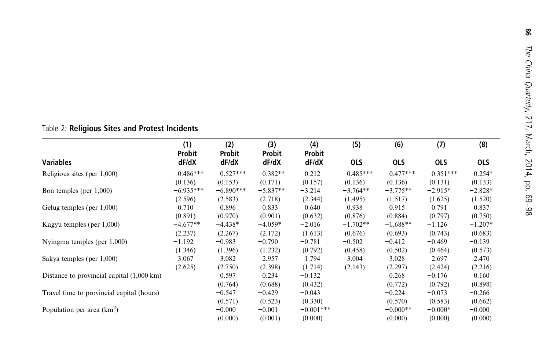#### Table 2: Religious Sites and Protest Incidents

|                                                     | (1)<br>Probit | (2)<br>Probit | (3)<br><b>Probit</b> | (4)<br>Probit | (5)        | (6)        | (7)        | (8)        |
|-----------------------------------------------------|---------------|---------------|----------------------|---------------|------------|------------|------------|------------|
| <b>Variables</b>                                    | dF/dX         | dF/dX         | dF/dX                | dF/dX         | <b>OLS</b> | <b>OLS</b> | <b>OLS</b> | <b>OLS</b> |
| Religious sites (per $1,000$ )                      | $0.486***$    | $0.527***$    | $0.382**$            | 0.212         | $0.485***$ | $0.477***$ | $0.351***$ | $0.254*$   |
|                                                     | (0.136)       | (0.153)       | (0.171)              | (0.157)       | (0.136)    | (0.136)    | (0.131)    | (0.133)    |
| Bon temples (per $1,000$ )                          | $-6.935***$   | $-6.890***$   | $-5.837**$           | $-3.214$      | $-3.764**$ | $-3.775**$ | $-2.915*$  | $-2.828*$  |
|                                                     | (2.596)       | (2.583)       | (2.718)              | (2.344)       | (1.495)    | (1.517)    | (1.625)    | (1.520)    |
| Gelug temples (per 1,000)                           | 0.710         | 0.896         | 0.833                | 0.640         | 0.938      | 0.915      | 0.791      | 0.837      |
|                                                     | (0.891)       | (0.970)       | (0.901)              | (0.632)       | (0.876)    | (0.884)    | (0.797)    | (0.750)    |
| Kagyu temples (per $1,000$ )                        | $-4.677**$    | $-4.438*$     | $-4.059*$            | $-2.016$      | $-1.702**$ | $-1.688**$ | $-1.126$   | $-1.207*$  |
|                                                     | (2.237)       | (2.267)       | (2.172)              | (1.613)       | (0.676)    | (0.693)    | (0.743)    | (0.683)    |
| Nyingma temples (per $1,000$ )                      | $-1.192$      | $-0.983$      | $-0.790$             | $-0.781$      | $-0.502$   | $-0.412$   | $-0.469$   | $-0.139$   |
|                                                     | (1.346)       | (1.396)       | (1.232)              | (0.792)       | (0.458)    | (0.502)    | (0.464)    | (0.573)    |
| Sakya temples (per 1,000)                           | 3.067         | 3.082         | 2.957                | 1.794         | 3.004      | 3.028      | 2.697      | 2.470      |
|                                                     | (2.625)       | (2.750)       | (2.398)              | (1.714)       | (2.143)    | (2.297)    | (2.424)    | (2.216)    |
| Distance to provincial capital $(1,000 \text{ km})$ |               | 0.597         | 0.234                | $-0.132$      |            | 0.268      | $-0.176$   | 0.160      |
|                                                     |               | (0.764)       | (0.688)              | (0.432)       |            | (0.772)    | (0.792)    | (0.898)    |
| Travel time to provincial capital (hours)           |               | $-0.547$      | $-0.429$             | $-0.043$      |            | $-0.224$   | $-0.073$   | $-0.266$   |
|                                                     |               | (0.571)       | (0.523)              | (0.330)       |            | (0.570)    | (0.583)    | (0.662)    |
| Population per area $(km^2)$                        |               | $-0.000$      | $-0.001$             | $-0.001***$   |            | $-0.000**$ | $-0.000*$  | $-0.000$   |
|                                                     |               | (0.000)       | (0.001)              | (0.000)       |            | (0.000)    | (0.000)    | (0.000)    |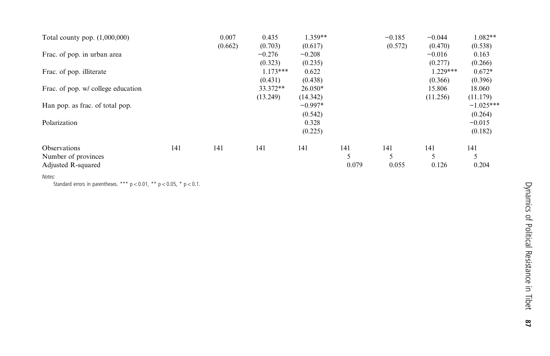| Total county pop. $(1,000,000)$    |     | 0.007   | 0.435      | $1.359**$ |       | $-0.185$ | $-0.044$   | $1.082**$   |
|------------------------------------|-----|---------|------------|-----------|-------|----------|------------|-------------|
|                                    |     | (0.662) | (0.703)    | (0.617)   |       | (0.572)  | (0.470)    | (0.538)     |
| Frac. of pop. in urban area        |     |         | $-0.276$   | $-0.208$  |       |          | $-0.016$   | 0.163       |
|                                    |     |         | (0.323)    | (0.235)   |       |          | (0.277)    | (0.266)     |
| Frac. of pop. illiterate           |     |         | $1.173***$ | 0.622     |       |          | $1.229***$ | $0.672*$    |
|                                    |     |         | (0.431)    | (0.438)   |       |          | (0.366)    | (0.396)     |
| Frac. of pop. w/ college education |     |         | 33.372**   | $26.050*$ |       |          | 15.806     | 18.060      |
|                                    |     |         | (13.249)   | (14.342)  |       |          | (11.256)   | (11.179)    |
| Han pop. as frac. of total pop.    |     |         |            | $-0.997*$ |       |          |            | $-1.025***$ |
|                                    |     |         |            | (0.542)   |       |          |            | (0.264)     |
| Polarization                       |     |         |            | 0.328     |       |          |            | $-0.015$    |
|                                    |     |         |            | (0.225)   |       |          |            | (0.182)     |
| <b>Observations</b>                | 141 | 141     | 141        | 141       | 141   | 141      | 141        | 141         |
| Number of provinces                |     |         |            |           | 5     |          | 5          |             |
| Adjusted R-squared                 |     |         |            |           | 0.079 | 0.055    | 0.126      | 0.204       |

#### Notes:

Standard errors in parentheses. \*\*\*  $p < 0.01$ , \*\*  $p < 0.05$ , \*  $p < 0.1$ .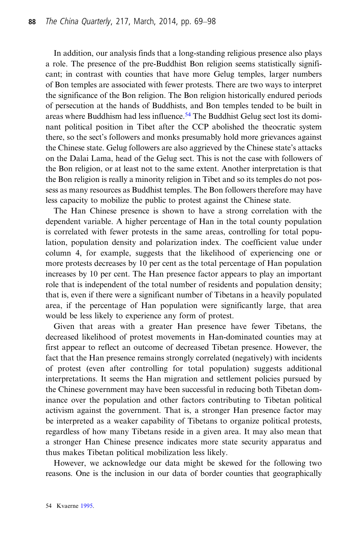In addition, our analysis finds that a long-standing religious presence also plays a role. The presence of the pre-Buddhist Bon religion seems statistically significant; in contrast with counties that have more Gelug temples, larger numbers of Bon temples are associated with fewer protests. There are two ways to interpret the significance of the Bon religion. The Bon religion historically endured periods of persecution at the hands of Buddhists, and Bon temples tended to be built in areas where Buddhism had less influence.<sup>54</sup> The Buddhist Gelug sect lost its dominant political position in Tibet after the CCP abolished the theocratic system there, so the sect's followers and monks presumably hold more grievances against the Chinese state. Gelug followers are also aggrieved by the Chinese state's attacks on the Dalai Lama, head of the Gelug sect. This is not the case with followers of the Bon religion, or at least not to the same extent. Another interpretation is that the Bon religion is really a minority religion in Tibet and so its temples do not possess as many resources as Buddhist temples. The Bon followers therefore may have less capacity to mobilize the public to protest against the Chinese state.

The Han Chinese presence is shown to have a strong correlation with the dependent variable. A higher percentage of Han in the total county population is correlated with fewer protests in the same areas, controlling for total population, population density and polarization index. The coefficient value under column 4, for example, suggests that the likelihood of experiencing one or more protests decreases by 10 per cent as the total percentage of Han population increases by 10 per cent. The Han presence factor appears to play an important role that is independent of the total number of residents and population density; that is, even if there were a significant number of Tibetans in a heavily populated area, if the percentage of Han population were significantly large, that area would be less likely to experience any form of protest.

Given that areas with a greater Han presence have fewer Tibetans, the decreased likelihood of protest movements in Han-dominated counties may at first appear to reflect an outcome of decreased Tibetan presence. However, the fact that the Han presence remains strongly correlated (negatively) with incidents of protest (even after controlling for total population) suggests additional interpretations. It seems the Han migration and settlement policies pursued by the Chinese government may have been successful in reducing both Tibetan dominance over the population and other factors contributing to Tibetan political activism against the government. That is, a stronger Han presence factor may be interpreted as a weaker capability of Tibetans to organize political protests, regardless of how many Tibetans reside in a given area. It may also mean that a stronger Han Chinese presence indicates more state security apparatus and thus makes Tibetan political mobilization less likely.

However, we acknowledge our data might be skewed for the following two reasons. One is the inclusion in our data of border counties that geographically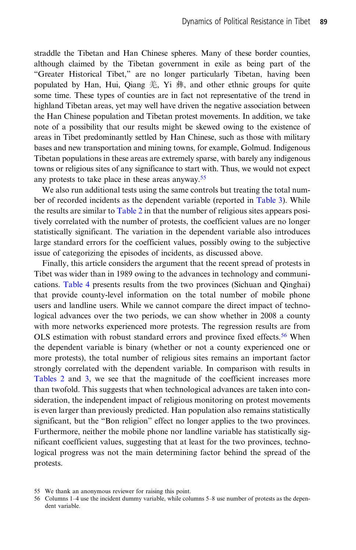straddle the Tibetan and Han Chinese spheres. Many of these border counties, although claimed by the Tibetan government in exile as being part of the "Greater Historical Tibet," are no longer particularly Tibetan, having been populated by Han, Hui, Qiang 羌, Yi 彝, and other ethnic groups for quite some time. These types of counties are in fact not representative of the trend in highland Tibetan areas, yet may well have driven the negative association between the Han Chinese population and Tibetan protest movements. In addition, we take note of a possibility that our results might be skewed owing to the existence of areas in Tibet predominantly settled by Han Chinese, such as those with military bases and new transportation and mining towns, for example, Golmud. Indigenous Tibetan populations in these areas are extremely sparse, with barely any indigenous towns or religious sites of any significance to start with. Thus, we would not expect any protests to take place in these areas anyway.55

We also run additional tests using the same controls but treating the total number of recorded incidents as the dependent variable (reported in Table 3). While the results are similar to Table 2 in that the number of religious sites appears positively correlated with the number of protests, the coefficient values are no longer statistically significant. The variation in the dependent variable also introduces large standard errors for the coefficient values, possibly owing to the subjective issue of categorizing the episodes of incidents, as discussed above.

Finally, this article considers the argument that the recent spread of protests in Tibet was wider than in 1989 owing to the advances in technology and communications. Table 4 presents results from the two provinces (Sichuan and Qinghai) that provide county-level information on the total number of mobile phone users and landline users. While we cannot compare the direct impact of technological advances over the two periods, we can show whether in 2008 a county with more networks experienced more protests. The regression results are from OLS estimation with robust standard errors and province fixed effects.<sup>56</sup> When the dependent variable is binary (whether or not a county experienced one or more protests), the total number of religious sites remains an important factor strongly correlated with the dependent variable. In comparison with results in Tables 2 and 3, we see that the magnitude of the coefficient increases more than twofold. This suggests that when technological advances are taken into consideration, the independent impact of religious monitoring on protest movements is even larger than previously predicted. Han population also remains statistically significant, but the "Bon religion" effect no longer applies to the two provinces. Furthermore, neither the mobile phone nor landline variable has statistically significant coefficient values, suggesting that at least for the two provinces, technological progress was not the main determining factor behind the spread of the protests.

<sup>55</sup> We thank an anonymous reviewer for raising this point.

<sup>56</sup> Columns 1–4 use the incident dummy variable, while columns 5–8 use number of protests as the dependent variable.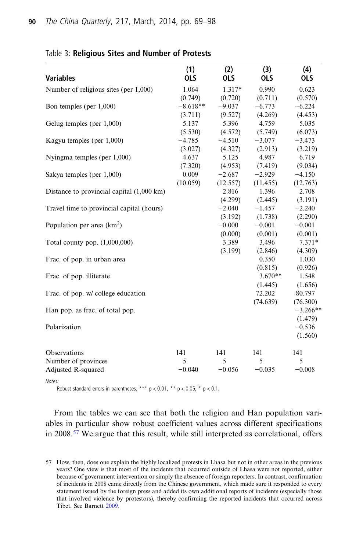#### Table 3: Religious Sites and Number of Protests

| <b>Variables</b>                          | (1)<br><b>OLS</b> | (2)<br><b>OLS</b> | (3)<br><b>OLS</b> | (4)<br><b>OLS</b> |
|-------------------------------------------|-------------------|-------------------|-------------------|-------------------|
| Number of religious sites (per $1,000$ )  | 1.064             | 1.317*            | 0.990             | 0.623             |
|                                           | (0.749)           | (0.720)           | (0.711)           | (0.570)           |
| Bon temples (per $1,000$ )                | $-8.618**$        | $-9.037$          | $-6.773$          | $-6.224$          |
|                                           | (3.711)           | (9.527)           | (4.269)           | (4.453)           |
| Gelug temples (per 1,000)                 | 5.137             | 5.396             | 4.759             | 5.035             |
|                                           | (5.530)           | (4.572)           | (5.749)           | (6.073)           |
| Kagyu temples (per $1,000$ )              | $-4.785$          | $-4.510$          | $-3.077$          | $-3.473$          |
|                                           | (3.027)           | (4.327)           | (2.913)           | (3.219)           |
| Nyingma temples (per 1,000)               | 4.637             | 5.125             | 4.987             | 6.719             |
|                                           | (7.320)           | (4.953)           | (7.419)           | (9.034)           |
| Sakya temples (per 1,000)                 | 0.009             | $-2.687$          | $-2.929$          | $-4.150$          |
|                                           | (10.059)          | (12.557)          | (11.455)          | (12.763)          |
| Distance to provincial capital (1,000 km) |                   | 2.816             | 1.396             | 2.708             |
|                                           |                   | (4.299)           | (2.445)           | (3.191)           |
| Travel time to provincial capital (hours) |                   | $-2.040$          | $-1.457$          | $-2.240$          |
|                                           |                   | (3.192)           | (1.738)           | (2.290)           |
| Population per area $(km^2)$              |                   | $-0.000$          | $-0.001$          | $-0.001$          |
|                                           |                   | (0.000)           | (0.001)           | (0.001)           |
| Total county pop. $(1,000,000)$           |                   | 3.389             | 3.496             | $7.371*$          |
|                                           |                   | (3.199)           | (2.846)           | (4.309)           |
| Frac. of pop. in urban area               |                   |                   | 0.350             | 1.030             |
|                                           |                   |                   | (0.815)           | (0.926)           |
| Frac. of pop. illiterate                  |                   |                   | $3.670**$         | 1.548             |
|                                           |                   |                   | (1.445)           | (1.656)           |
| Frac. of pop. w/ college education        |                   |                   | 72.202            | 80.797            |
|                                           |                   |                   | (74.639)          | (76.300)          |
| Han pop. as frac. of total pop.           |                   |                   |                   | $-3.266**$        |
|                                           |                   |                   |                   | (1.479)           |
| Polarization                              |                   |                   |                   | $-0.536$          |
|                                           |                   |                   |                   | (1.560)           |
| Observations                              | 141               | 141               | 141               | 141               |
| Number of provinces                       | 5                 | 5                 | 5                 | 5                 |
| Adjusted R-squared                        | $-0.040$          | $-0.056$          | $-0.035$          | $-0.008$          |

Notes:

Robust standard errors in parentheses. \*\*\*  $p < 0.01$ , \*\*  $p < 0.05$ , \*  $p < 0.1$ .

From the tables we can see that both the religion and Han population variables in particular show robust coefficient values across different specifications in 2008.<sup>57</sup> We argue that this result, while still interpreted as correlational, offers

<sup>57</sup> How, then, does one explain the highly localized protests in Lhasa but not in other areas in the previous years? One view is that most of the incidents that occurred outside of Lhasa were not reported, either because of government intervention or simply the absence of foreign reporters. In contrast, confirmation of incidents in 2008 came directly from the Chinese government, which made sure it responded to every statement issued by the foreign press and added its own additional reports of incidents (especially those that involved violence by protestors), thereby confirming the reported incidents that occurred across Tibet. See Barnett 2009.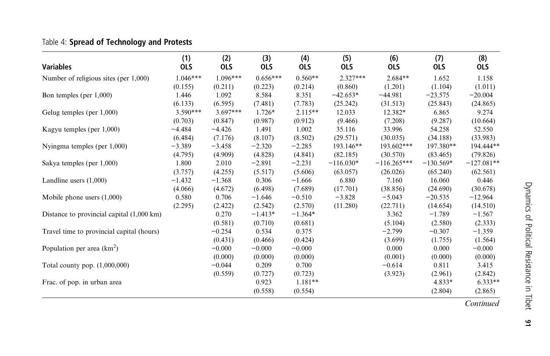#### Table 4: Spread of Technology and Protests

| <b>Variables</b>                                    | (1)<br><b>OLS</b> | (2)<br><b>OLS</b> | (3)<br><b>OLS</b> | (4)<br><b>OLS</b> | (5)<br><b>OLS</b> | (6)<br><b>OLS</b> | (7)<br><b>OLS</b> | (8)<br><b>OLS</b> |
|-----------------------------------------------------|-------------------|-------------------|-------------------|-------------------|-------------------|-------------------|-------------------|-------------------|
| Number of religious sites (per 1,000)               | $1.046***$        | $1.096***$        | $0.656***$        | $0.560**$         | $2.327***$        | $2.684**$         | 1.652             | 1.158             |
|                                                     | (0.155)           | (0.211)           | (0.223)           | (0.214)           | (0.860)           | (1.201)           | (1.104)           | (1.011)           |
| Bon temples (per $1,000$ )                          | 1.446             | 1.092             | 8.584             | 8.351             | $-42.653*$        | $-44.981$         | $-23.575$         | $-20.004$         |
|                                                     | (6.133)           | (6.595)           | (7.481)           | (7.783)           | (25.242)          | (31.513)          | (25.843)          | (24.865)          |
| Gelug temples (per 1,000)                           | $3.590***$        | $3.697***$        | $1.726*$          | $2.115**$         | 12.033            | 12.382*           | 6.865             | 9.274             |
|                                                     | (0.703)           | (0.847)           | (0.987)           | (0.912)           | (9.466)           | (7.208)           | (9.287)           | (10.664)          |
| Kagyu temples (per $1,000$ )                        | $-4.484$          | $-4.426$          | 1.491             | 1.002             | 35.116            | 33.996            | 54.258            | 52.550            |
|                                                     | (6.484)           | (7.176)           | (8.107)           | (8.502)           | (29.571)          | (30.035)          | (34.188)          | (33.983)          |
| Nyingma temples (per 1,000)                         | $-3.389$          | $-3.458$          | $-2.320$          | $-2.285$          | 193.146**         | $193.602***$      | 197.380**         | 194.444**         |
|                                                     | (4.795)           | (4.909)           | (4.828)           | (4.841)           | (82.185)          | (30.570)          | (83.465)          | (79.826)          |
| Sakya temples (per $1,000$ )                        | 1.800             | 2.010             | $-2.891$          | $-2.231$          | $-116.030*$       | $-116.265***$     | $-130.569*$       | $-127.081**$      |
|                                                     | (3.757)           | (4.255)           | (5.517)           | (5.606)           | (63.057)          | (26.026)          | (65.240)          | (62.561)          |
| Landline users $(1,000)$                            | $-1.432$          | $-1.368$          | 0.306             | $-1.666$          | 6.880             | 7.160             | 16.060            | 0.446             |
|                                                     | (4.066)           | (4.672)           | (6.498)           | (7.689)           | (17.701)          | (38.856)          | (24.690)          | (30.678)          |
| Mobile phone users $(1,000)$                        | 0.580             | 0.706             | $-1.646$          | $-0.510$          | $-3.828$          | $-5.043$          | $-20.535$         | $-12.964$         |
|                                                     | (2.295)           | (2.422)           | (2.542)           | (2.570)           | (11.280)          | (22.711)          | (14.654)          | (14.510)          |
| Distance to provincial capital $(1,000 \text{ km})$ |                   | 0.270             | $-1.413*$         | $-1.364*$         |                   | 3.362             | $-1.789$          | $-1.567$          |
|                                                     |                   | (0.581)           | (0.710)           | (0.681)           |                   | (5.104)           | (2.580)           | (2.333)           |
| Travel time to provincial capital (hours)           |                   | $-0.254$          | 0.534             | 0.375             |                   | $-2.799$          | $-0.307$          | $-1.359$          |
|                                                     |                   | (0.431)           | (0.466)           | (0.424)           |                   | (3.699)           | (1.755)           | (1.564)           |
| Population per area $(km^2)$                        |                   | $-0.000$          | $-0.000$          | $-0.000$          |                   | 0.000             | 0.000             | $-0.000$          |
|                                                     |                   | (0.000)           | (0.000)           | (0.000)           |                   | (0.001)           | (0.000)           | (0.000)           |
| Total county pop. $(1,000,000)$                     |                   | $-0.044$          | 0.209             | 0.700             |                   | $-0.614$          | 0.811             | 3.415             |
|                                                     |                   | (0.559)           | (0.727)           | (0.723)           |                   | (3.923)           | (2.961)           | (2.842)           |
| Frac. of pop. in urban area                         |                   |                   | 0.923             | $1.181**$         |                   |                   | 4.833*            | $6.333**$         |
|                                                     |                   |                   | (0.558)           | (0.554)           |                   |                   | (2.804)           | (2.865)           |

Continued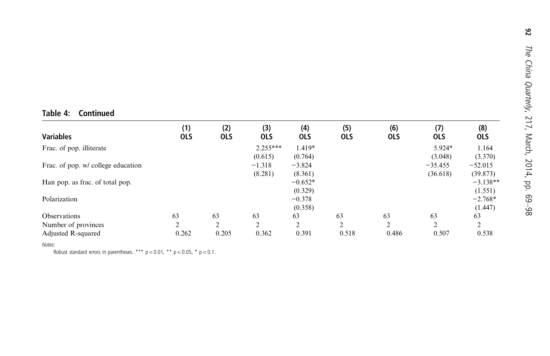#### Table 4: Continued

| <b>Variables</b>                   | (1)<br><b>OLS</b> | (2)<br><b>OLS</b> | (3)<br><b>OLS</b> | (4)<br><b>OLS</b> | (5)<br><b>OLS</b> | (6)<br><b>OLS</b> | (7)<br><b>OLS</b> | (8)<br><b>OLS</b> |
|------------------------------------|-------------------|-------------------|-------------------|-------------------|-------------------|-------------------|-------------------|-------------------|
| Frac. of pop. illiterate           |                   |                   | $2.255***$        | 1.419*            |                   |                   | $5.924*$          | 1.164             |
|                                    |                   |                   | (0.615)           | (0.764)           |                   |                   | (3.048)           | (3.370)           |
| Frac. of pop. w/ college education |                   |                   | $-1.318$          | $-3.824$          |                   |                   | $-35.455$         | $-52.015$         |
|                                    |                   |                   | (8.281)           | (8.361)           |                   |                   | (36.618)          | (39.873)          |
| Han pop. as frac. of total pop.    |                   |                   |                   | $-0.652*$         |                   |                   |                   | $-3.138**$        |
|                                    |                   |                   |                   | (0.329)           |                   |                   |                   | (1.551)           |
| Polarization                       |                   |                   |                   | $-0.378$          |                   |                   |                   | $-2.768*$         |
|                                    |                   |                   |                   | (0.358)           |                   |                   |                   | (1.447)           |
| <b>Observations</b>                | 63                | 63                | 63                | 63                | 63                | 63                | 63                | 63                |
| Number of provinces                | $\mathcal{L}$     | $\overline{2}$    | $\gamma$          | 2                 | $\mathcal{D}$     | 2                 | $\mathcal{D}$     | ↑                 |
| Adjusted R-squared                 | 0.262             | 0.205             | 0.362             | 0.391             | 0.518             | 0.486             | 0.507             | 0.538             |

Notes:

Robust standard errors in parentheses. \*\*\*  $p < 0.01$ , \*\*  $p < 0.05$ , \*  $p < 0.1$ .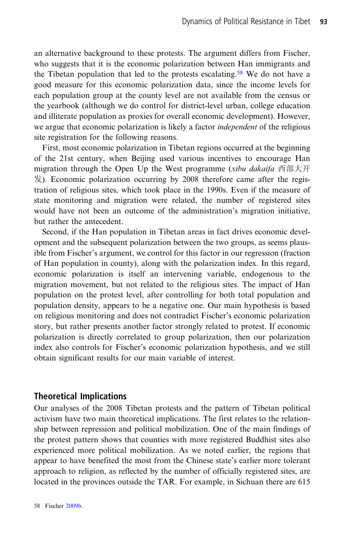an alternative background to these protests. The argument differs from Fischer, who suggests that it is the economic polarization between Han immigrants and the Tibetan population that led to the protests escalating.<sup>58</sup> We do not have a good measure for this economic polarization data, since the income levels for each population group at the county level are not available from the census or the yearbook (although we do control for district-level urban, college education and illiterate population as proxies for overall economic development). However, we argue that economic polarization is likely a factor independent of the religious site registration for the following reasons.

First, most economic polarization in Tibetan regions occurred at the beginning of the 21st century, when Beijing used various incentives to encourage Han migration through the Open Up the West programme (xibu dakaifa 西部大开 发). Economic polarization occurring by 2008 therefore came after the registration of religious sites, which took place in the 1990s. Even if the measure of state monitoring and migration were related, the number of registered sites would have not been an outcome of the administration's migration initiative, but rather the antecedent.

Second, if the Han population in Tibetan areas in fact drives economic development and the subsequent polarization between the two groups, as seems plausible from Fischer's argument, we control for this factor in our regression (fraction of Han population in county), along with the polarization index. In this regard, economic polarization is itself an intervening variable, endogenous to the migration movement, but not related to the religious sites. The impact of Han population on the protest level, after controlling for both total population and population density, appears to be a negative one. Our main hypothesis is based on religious monitoring and does not contradict Fischer's economic polarization story, but rather presents another factor strongly related to protest. If economic polarization is directly correlated to group polarization, then our polarization index also controls for Fischer's economic polarization hypothesis, and we still obtain significant results for our main variable of interest.

#### Theoretical Implications

Our analyses of the 2008 Tibetan protests and the pattern of Tibetan political activism have two main theoretical implications. The first relates to the relationship between repression and political mobilization. One of the main findings of the protest pattern shows that counties with more registered Buddhist sites also experienced more political mobilization. As we noted earlier, the regions that appear to have benefited the most from the Chinese state's earlier more tolerant approach to religion, as reflected by the number of officially registered sites, are located in the provinces outside the TAR. For example, in Sichuan there are 615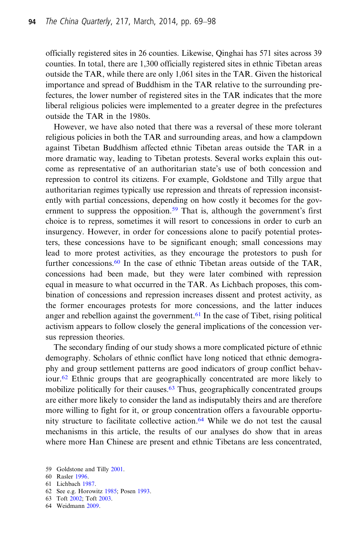officially registered sites in 26 counties. Likewise, Qinghai has 571 sites across 39 counties. In total, there are 1,300 officially registered sites in ethnic Tibetan areas outside the TAR, while there are only 1,061 sites in the TAR. Given the historical importance and spread of Buddhism in the TAR relative to the surrounding prefectures, the lower number of registered sites in the TAR indicates that the more liberal religious policies were implemented to a greater degree in the prefectures outside the TAR in the 1980s.

However, we have also noted that there was a reversal of these more tolerant religious policies in both the TAR and surrounding areas, and how a clampdown against Tibetan Buddhism affected ethnic Tibetan areas outside the TAR in a more dramatic way, leading to Tibetan protests. Several works explain this outcome as representative of an authoritarian state's use of both concession and repression to control its citizens. For example, Goldstone and Tilly argue that authoritarian regimes typically use repression and threats of repression inconsistently with partial concessions, depending on how costly it becomes for the government to suppress the opposition.<sup>59</sup> That is, although the government's first choice is to repress, sometimes it will resort to concessions in order to curb an insurgency. However, in order for concessions alone to pacify potential protesters, these concessions have to be significant enough; small concessions may lead to more protest activities, as they encourage the protestors to push for further concessions.<sup>60</sup> In the case of ethnic Tibetan areas outside of the TAR, concessions had been made, but they were later combined with repression equal in measure to what occurred in the TAR. As Lichbach proposes, this combination of concessions and repression increases dissent and protest activity, as the former encourages protests for more concessions, and the latter induces anger and rebellion against the government.<sup>61</sup> In the case of Tibet, rising political activism appears to follow closely the general implications of the concession versus repression theories.

The secondary finding of our study shows a more complicated picture of ethnic demography. Scholars of ethnic conflict have long noticed that ethnic demography and group settlement patterns are good indicators of group conflict behaviour.<sup>62</sup> Ethnic groups that are geographically concentrated are more likely to mobilize politically for their causes. $63$  Thus, geographically concentrated groups are either more likely to consider the land as indisputably theirs and are therefore more willing to fight for it, or group concentration offers a favourable opportunity structure to facilitate collective action.<sup>64</sup> While we do not test the causal mechanisms in this article, the results of our analyses do show that in areas where more Han Chinese are present and ethnic Tibetans are less concentrated,

62 See e.g. Horowitz 1985; Posen 1993.

64 Weidmann 2009.

<sup>59</sup> Goldstone and Tilly 2001.

<sup>60</sup> Rasler 1996.

<sup>61</sup> Lichbach 1987.

<sup>63</sup> Toft 2002; Toft 2003.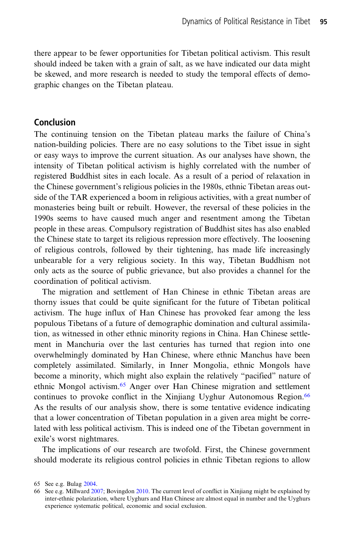there appear to be fewer opportunities for Tibetan political activism. This result should indeed be taken with a grain of salt, as we have indicated our data might be skewed, and more research is needed to study the temporal effects of demographic changes on the Tibetan plateau.

#### Conclusion

The continuing tension on the Tibetan plateau marks the failure of China's nation-building policies. There are no easy solutions to the Tibet issue in sight or easy ways to improve the current situation. As our analyses have shown, the intensity of Tibetan political activism is highly correlated with the number of registered Buddhist sites in each locale. As a result of a period of relaxation in the Chinese government's religious policies in the 1980s, ethnic Tibetan areas outside of the TAR experienced a boom in religious activities, with a great number of monasteries being built or rebuilt. However, the reversal of these policies in the 1990s seems to have caused much anger and resentment among the Tibetan people in these areas. Compulsory registration of Buddhist sites has also enabled the Chinese state to target its religious repression more effectively. The loosening of religious controls, followed by their tightening, has made life increasingly unbearable for a very religious society. In this way, Tibetan Buddhism not only acts as the source of public grievance, but also provides a channel for the coordination of political activism.

The migration and settlement of Han Chinese in ethnic Tibetan areas are thorny issues that could be quite significant for the future of Tibetan political activism. The huge influx of Han Chinese has provoked fear among the less populous Tibetans of a future of demographic domination and cultural assimilation, as witnessed in other ethnic minority regions in China. Han Chinese settlement in Manchuria over the last centuries has turned that region into one overwhelmingly dominated by Han Chinese, where ethnic Manchus have been completely assimilated. Similarly, in Inner Mongolia, ethnic Mongols have become a minority, which might also explain the relatively "pacified" nature of ethnic Mongol activism.65 Anger over Han Chinese migration and settlement continues to provoke conflict in the Xinjiang Uyghur Autonomous Region.<sup>66</sup> As the results of our analysis show, there is some tentative evidence indicating that a lower concentration of Tibetan population in a given area might be correlated with less political activism. This is indeed one of the Tibetan government in exile's worst nightmares.

The implications of our research are twofold. First, the Chinese government should moderate its religious control policies in ethnic Tibetan regions to allow

<sup>65</sup> See e.g. Bulag 2004.

<sup>66</sup> See e.g. Millward 2007; Bovingdon 2010. The current level of conflict in Xinjiang might be explained by inter-ethnic polarization, where Uyghurs and Han Chinese are almost equal in number and the Uyghurs experience systematic political, economic and social exclusion.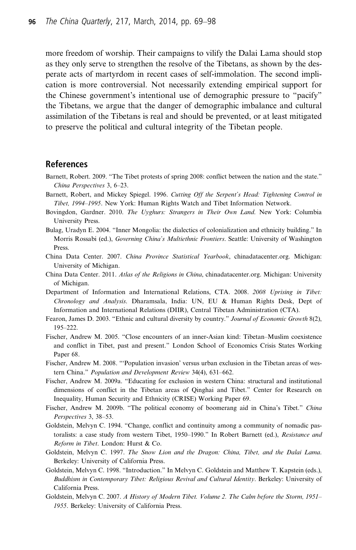more freedom of worship. Their campaigns to vilify the Dalai Lama should stop as they only serve to strengthen the resolve of the Tibetans, as shown by the desperate acts of martyrdom in recent cases of self-immolation. The second implication is more controversial. Not necessarily extending empirical support for the Chinese government's intentional use of demographic pressure to "pacify" the Tibetans, we argue that the danger of demographic imbalance and cultural assimilation of the Tibetans is real and should be prevented, or at least mitigated to preserve the political and cultural integrity of the Tibetan people.

#### References

- Barnett, Robert. 2009. "The Tibet protests of spring 2008: conflict between the nation and the state." China Perspectives 3, 6–23.
- Barnett, Robert, and Mickey Spiegel. 1996. Cutting Off the Serpent's Head: Tightening Control in Tibet, 1994–1995. New York: Human Rights Watch and Tibet Information Network.
- Bovingdon, Gardner. 2010. The Uyghurs: Strangers in Their Own Land. New York: Columbia University Press.
- Bulag, Uradyn E. 2004. "Inner Mongolia: the dialectics of colonialization and ethnicity building." In Morris Rossabi (ed.), Governing China's Multiethnic Frontiers. Seattle: University of Washington Press.
- China Data Center. 2007. China Province Statistical Yearbook, chinadatacenter.org. Michigan: University of Michigan.
- China Data Center. 2011. Atlas of the Religions in China, chinadatacenter.org. Michigan: University of Michigan.
- Department of Information and International Relations, CTA. 2008. 2008 Uprising in Tibet: Chronology and Analysis. Dharamsala, India: UN, EU & Human Rights Desk, Dept of Information and International Relations (DIIR), Central Tibetan Administration (CTA).
- Fearon, James D. 2003. "Ethnic and cultural diversity by country." Journal of Economic Growth 8(2), 195–222.
- Fischer, Andrew M. 2005. "Close encounters of an inner-Asian kind: Tibetan–Muslim coexistence and conflict in Tibet, past and present." London School of Economics Crisis States Working Paper 68.
- Fischer, Andrew M. 2008. "'Population invasion' versus urban exclusion in the Tibetan areas of western China." Population and Development Review 34(4), 631–662.
- Fischer, Andrew M. 2009a. "Educating for exclusion in western China: structural and institutional dimensions of conflict in the Tibetan areas of Qinghai and Tibet." Center for Research on Inequality, Human Security and Ethnicity (CRISE) Working Paper 69.
- Fischer, Andrew M. 2009b. "The political economy of boomerang aid in China's Tibet." China Perspectives 3, 38–53.
- Goldstein, Melvyn C. 1994. "Change, conflict and continuity among a community of nomadic pastoralists: a case study from western Tibet, 1950–1990." In Robert Barnett (ed.), Resistance and Reform in Tibet. London: Hurst & Co.
- Goldstein, Melvyn C. 1997. The Snow Lion and the Dragon: China, Tibet, and the Dalai Lama. Berkeley: University of California Press.
- Goldstein, Melvyn C. 1998. "Introduction." In Melvyn C. Goldstein and Matthew T. Kapstein (eds.), Buddhism in Contemporary Tibet: Religious Revival and Cultural Identity. Berkeley: University of California Press.
- Goldstein, Melvyn C. 2007. A History of Modern Tibet. Volume 2. The Calm before the Storm, 1951– 1955. Berkeley: University of California Press.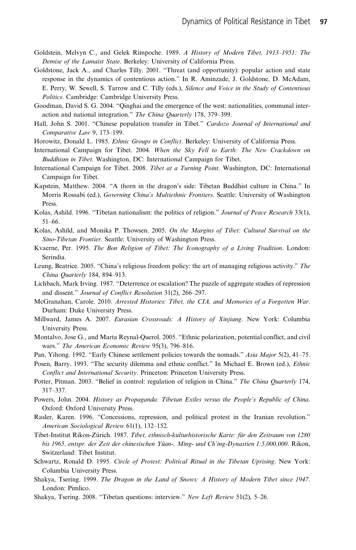- Goldstein, Melvyn C., and Gelek Rimpoche. 1989. A History of Modern Tibet, 1913–1951: The Demise of the Lamaist State. Berkeley: University of California Press.
- Goldstone, Jack A., and Charles Tilly. 2001. "Threat (and opportunity): popular action and state response in the dynamics of contentious action." In R. Aminzade, J. Goldstone, D. McAdam, E. Perry, W. Sewell, S. Tarrow and C. Tilly (eds.), Silence and Voice in the Study of Contentious Politics. Cambridge: Cambridge University Press.
- Goodman, David S. G. 2004. "Qinghai and the emergence of the west: nationalities, communal interaction and national integration." The China Quarterly 178, 379–399.
- Hall, John S. 2001. "Chinese population transfer in Tibet." Cardozo Journal of International and Comparative Law 9, 173–199.

Horowitz, Donald L. 1985. Ethnic Groups in Conflict. Berkeley: University of California Press.

- International Campaign for Tibet. 2004. When the Sky Fell to Earth: The New Crackdown on Buddhism in Tibet. Washington, DC: International Campaign for Tibet.
- International Campaign for Tibet. 2008. Tibet at a Turning Point. Washington, DC: International Campaign for Tibet.
- Kapstein, Matthew. 2004. "A thorn in the dragon's side: Tibetan Buddhist culture in China." In Morris Rossabi (ed.), Governing China's Multiethnic Frontiers. Seattle: University of Washington Press.
- Kolas, Ashild. 1996. "Tibetan nationalism: the politics of religion." Journal of Peace Research 33(1), 51–66.
- Kolas, Ashild, and Monika P. Thowsen. 2005. On the Margins of Tibet: Cultural Survival on the Sino-Tibetan Frontier. Seattle: University of Washington Press.
- Kvaerne, Per. 1995. The Bon Religion of Tibet: The Iconography of a Living Tradition. London: Serindia.
- Leung, Beatrice. 2005. "China's religious freedom policy: the art of managing religious activity." The China Quarterly 184, 894–913.
- Lichbach, Mark Irving. 1987. "Deterrence or escalation? The puzzle of aggregate studies of repression and dissent." Journal of Conflict Resolution 31(2), 266-297.
- McGranahan, Carole. 2010. Arrested Histories: Tibet, the CIA, and Memories of a Forgotten War. Durham: Duke University Press.
- Millward, James A. 2007. Eurasian Crossroads: A History of Xinjiang. New York: Columbia University Press.
- Montalvo, Jose G., and Marta Reynal-Querol. 2005. "Ethnic polarization, potential conflict, and civil wars." The American Economic Review 95(3), 796–816.
- Pan, Yihong. 1992. "Early Chinese settlement policies towards the nomads." Asia Major 5(2), 41–75.
- Posen, Barry. 1993. "The security dilemma and ethnic conflict." In Michael E. Brown (ed.), Ethnic Conflict and International Security. Princeton: Princeton University Press.
- Potter, Pitman. 2003. "Belief in control: regulation of religion in China." The China Quarterly 174, 317–337.
- Powers, John. 2004. History as Propaganda: Tibetan Exiles versus the People's Republic of China. Oxford: Oxford University Press.
- Rasler, Karen. 1996. "Concessions, repression, and political protest in the Iranian revolution." American Sociological Review 61(1), 132–152.
- Tibet-Institut Rikon-Zürich. 1987. Tibet, ethnisch-kulturhistorische Karte: für den Zeitraum von 1280 bis 1965, entspr. der Zeit der chinesischen Yüan-, Ming- und Ch'ing-Dynastien 1:5,000,000. Rikon, Switzerland: Tibet Institut.
- Schwartz, Ronald D. 1995. Circle of Protest: Political Ritual in the Tibetan Uprising. New York: Columbia University Press.
- Shakya, Tsering. 1999. The Dragon in the Land of Snows: A History of Modern Tibet since 1947. London: Pimlico.
- Shakya, Tsering. 2008. "Tibetan questions: interview." New Left Review 51(2), 5–26.